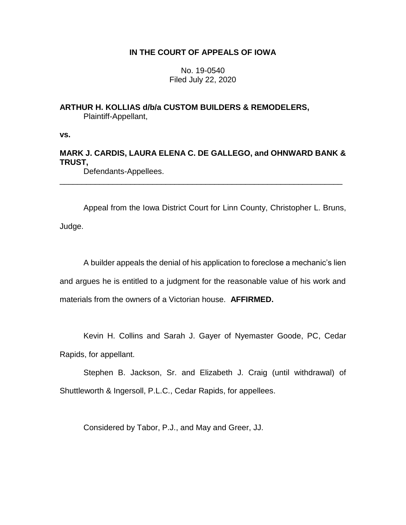## **IN THE COURT OF APPEALS OF IOWA**

No. 19-0540 Filed July 22, 2020

**ARTHUR H. KOLLIAS d/b/a CUSTOM BUILDERS & REMODELERS,** Plaintiff-Appellant,

**vs.**

# **MARK J. CARDIS, LAURA ELENA C. DE GALLEGO, and OHNWARD BANK & TRUST,**

\_\_\_\_\_\_\_\_\_\_\_\_\_\_\_\_\_\_\_\_\_\_\_\_\_\_\_\_\_\_\_\_\_\_\_\_\_\_\_\_\_\_\_\_\_\_\_\_\_\_\_\_\_\_\_\_\_\_\_\_\_\_\_\_

Defendants-Appellees.

Appeal from the Iowa District Court for Linn County, Christopher L. Bruns, Judge.

A builder appeals the denial of his application to foreclose a mechanic's lien and argues he is entitled to a judgment for the reasonable value of his work and materials from the owners of a Victorian house. **AFFIRMED.**

Kevin H. Collins and Sarah J. Gayer of Nyemaster Goode, PC, Cedar Rapids, for appellant.

Stephen B. Jackson, Sr. and Elizabeth J. Craig (until withdrawal) of Shuttleworth & Ingersoll, P.L.C., Cedar Rapids, for appellees.

Considered by Tabor, P.J., and May and Greer, JJ.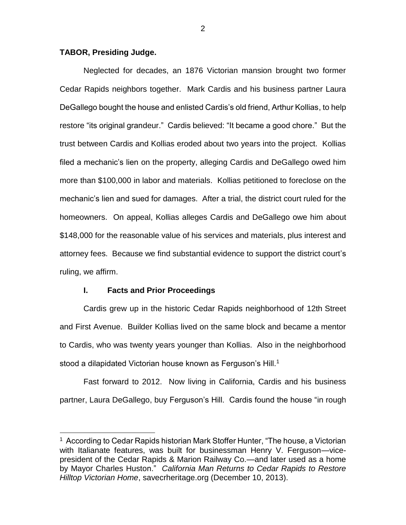### **TABOR, Presiding Judge.**

Neglected for decades, an 1876 Victorian mansion brought two former Cedar Rapids neighbors together. Mark Cardis and his business partner Laura DeGallego bought the house and enlisted Cardis's old friend, Arthur Kollias, to help restore "its original grandeur." Cardis believed: "It became a good chore." But the trust between Cardis and Kollias eroded about two years into the project. Kollias filed a mechanic's lien on the property, alleging Cardis and DeGallego owed him more than \$100,000 in labor and materials. Kollias petitioned to foreclose on the mechanic's lien and sued for damages. After a trial, the district court ruled for the homeowners. On appeal, Kollias alleges Cardis and DeGallego owe him about \$148,000 for the reasonable value of his services and materials, plus interest and attorney fees. Because we find substantial evidence to support the district court's ruling, we affirm.

### **I. Facts and Prior Proceedings**

 $\overline{a}$ 

Cardis grew up in the historic Cedar Rapids neighborhood of 12th Street and First Avenue. Builder Kollias lived on the same block and became a mentor to Cardis, who was twenty years younger than Kollias. Also in the neighborhood stood a dilapidated Victorian house known as Ferguson's Hill.<sup>1</sup>

Fast forward to 2012. Now living in California, Cardis and his business partner, Laura DeGallego, buy Ferguson's Hill. Cardis found the house "in rough

<sup>&</sup>lt;sup>1</sup> According to Cedar Rapids historian Mark Stoffer Hunter, "The house, a Victorian with Italianate features, was built for businessman Henry V. Ferguson—vicepresident of the Cedar Rapids & Marion Railway Co.—and later used as a home by Mayor Charles Huston." *California Man Returns to Cedar Rapids to Restore Hilltop Victorian Home*, savecrheritage.org (December 10, 2013).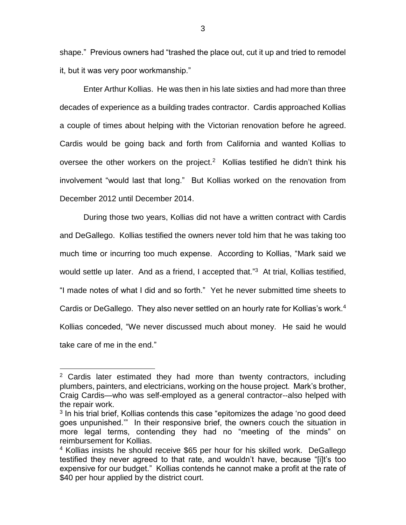shape." Previous owners had "trashed the place out, cut it up and tried to remodel it, but it was very poor workmanship."

Enter Arthur Kollias. He was then in his late sixties and had more than three decades of experience as a building trades contractor. Cardis approached Kollias a couple of times about helping with the Victorian renovation before he agreed. Cardis would be going back and forth from California and wanted Kollias to oversee the other workers on the project.<sup>2</sup> Kollias testified he didn't think his involvement "would last that long." But Kollias worked on the renovation from December 2012 until December 2014.

During those two years, Kollias did not have a written contract with Cardis and DeGallego. Kollias testified the owners never told him that he was taking too much time or incurring too much expense. According to Kollias, "Mark said we would settle up later. And as a friend, I accepted that."<sup>3</sup> At trial, Kollias testified, "I made notes of what I did and so forth." Yet he never submitted time sheets to Cardis or DeGallego. They also never settled on an hourly rate for Kollias's work.<sup>4</sup> Kollias conceded, "We never discussed much about money. He said he would take care of me in the end."

 $2$  Cardis later estimated they had more than twenty contractors, including plumbers, painters, and electricians, working on the house project. Mark's brother, Craig Cardis—who was self-employed as a general contractor--also helped with the repair work.

<sup>&</sup>lt;sup>3</sup> In his trial brief, Kollias contends this case "epitomizes the adage 'no good deed goes unpunished.'" In their responsive brief, the owners couch the situation in more legal terms, contending they had no "meeting of the minds" on reimbursement for Kollias.

<sup>&</sup>lt;sup>4</sup> Kollias insists he should receive \$65 per hour for his skilled work. DeGallego testified they never agreed to that rate, and wouldn't have, because "[i]t's too expensive for our budget." Kollias contends he cannot make a profit at the rate of \$40 per hour applied by the district court.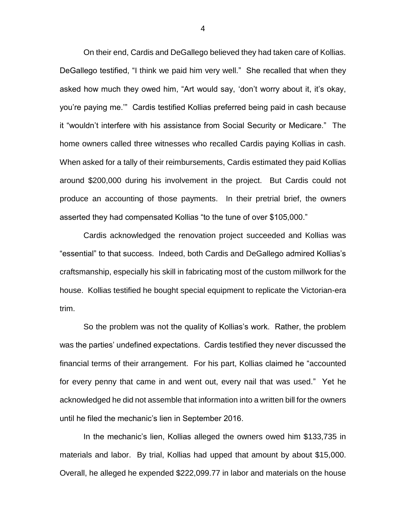On their end, Cardis and DeGallego believed they had taken care of Kollias. DeGallego testified, "I think we paid him very well." She recalled that when they asked how much they owed him, "Art would say, 'don't worry about it, it's okay, you're paying me.'" Cardis testified Kollias preferred being paid in cash because it "wouldn't interfere with his assistance from Social Security or Medicare." The home owners called three witnesses who recalled Cardis paying Kollias in cash. When asked for a tally of their reimbursements, Cardis estimated they paid Kollias around \$200,000 during his involvement in the project. But Cardis could not produce an accounting of those payments. In their pretrial brief, the owners asserted they had compensated Kollias "to the tune of over \$105,000."

Cardis acknowledged the renovation project succeeded and Kollias was "essential" to that success. Indeed, both Cardis and DeGallego admired Kollias's craftsmanship, especially his skill in fabricating most of the custom millwork for the house. Kollias testified he bought special equipment to replicate the Victorian-era trim.

So the problem was not the quality of Kollias's work. Rather, the problem was the parties' undefined expectations. Cardis testified they never discussed the financial terms of their arrangement. For his part, Kollias claimed he "accounted for every penny that came in and went out, every nail that was used." Yet he acknowledged he did not assemble that information into a written bill for the owners until he filed the mechanic's lien in September 2016.

In the mechanic's lien, Kollias alleged the owners owed him \$133,735 in materials and labor. By trial, Kollias had upped that amount by about \$15,000. Overall, he alleged he expended \$222,099.77 in labor and materials on the house

4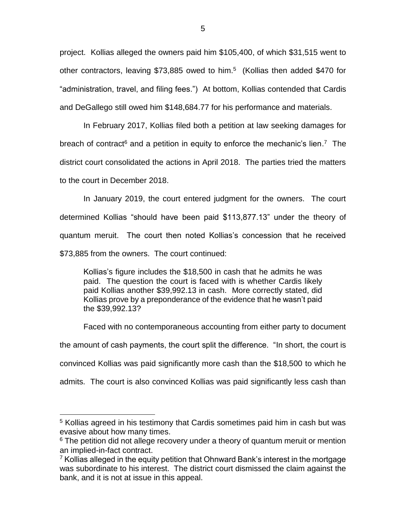project. Kollias alleged the owners paid him \$105,400, of which \$31,515 went to other contractors, leaving \$73,885 owed to him.<sup>5</sup> (Kollias then added \$470 for "administration, travel, and filing fees.") At bottom, Kollias contended that Cardis and DeGallego still owed him \$148,684.77 for his performance and materials.

In February 2017, Kollias filed both a petition at law seeking damages for breach of contract<sup>6</sup> and a petition in equity to enforce the mechanic's lien.<sup>7</sup> The district court consolidated the actions in April 2018. The parties tried the matters to the court in December 2018.

In January 2019, the court entered judgment for the owners. The court determined Kollias "should have been paid \$113,877.13" under the theory of quantum meruit. The court then noted Kollias's concession that he received \$73,885 from the owners. The court continued:

Kollias's figure includes the \$18,500 in cash that he admits he was paid. The question the court is faced with is whether Cardis likely paid Kollias another \$39,992.13 in cash. More correctly stated, did Kollias prove by a preponderance of the evidence that he wasn't paid the \$39,992.13?

Faced with no contemporaneous accounting from either party to document the amount of cash payments, the court split the difference. "In short, the court is convinced Kollias was paid significantly more cash than the \$18,500 to which he admits. The court is also convinced Kollias was paid significantly less cash than

<sup>5</sup> Kollias agreed in his testimony that Cardis sometimes paid him in cash but was evasive about how many times.

<sup>&</sup>lt;sup>6</sup> The petition did not allege recovery under a theory of quantum meruit or mention an implied-in-fact contract.

 $7$  Kollias alleged in the equity petition that Ohnward Bank's interest in the mortgage was subordinate to his interest. The district court dismissed the claim against the bank, and it is not at issue in this appeal.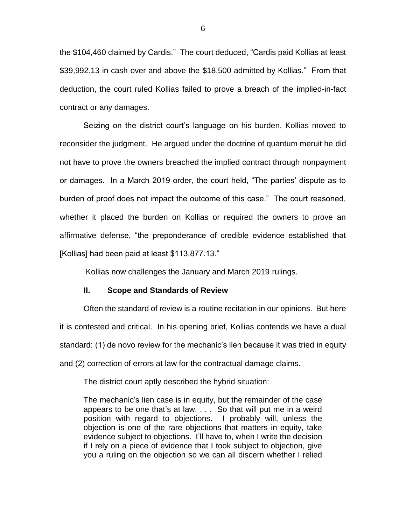the \$104,460 claimed by Cardis." The court deduced, "Cardis paid Kollias at least \$39,992.13 in cash over and above the \$18,500 admitted by Kollias." From that deduction, the court ruled Kollias failed to prove a breach of the implied-in-fact contract or any damages.

Seizing on the district court's language on his burden, Kollias moved to reconsider the judgment. He argued under the doctrine of quantum meruit he did not have to prove the owners breached the implied contract through nonpayment or damages. In a March 2019 order, the court held, "The parties' dispute as to burden of proof does not impact the outcome of this case." The court reasoned, whether it placed the burden on Kollias or required the owners to prove an affirmative defense, "the preponderance of credible evidence established that [Kollias] had been paid at least \$113,877.13."

Kollias now challenges the January and March 2019 rulings.

### **II. Scope and Standards of Review**

Often the standard of review is a routine recitation in our opinions. But here it is contested and critical. In his opening brief, Kollias contends we have a dual standard: (1) de novo review for the mechanic's lien because it was tried in equity and (2) correction of errors at law for the contractual damage claims.

The district court aptly described the hybrid situation:

The mechanic's lien case is in equity, but the remainder of the case appears to be one that's at law. . . . So that will put me in a weird position with regard to objections. I probably will, unless the objection is one of the rare objections that matters in equity, take evidence subject to objections. I'll have to, when I write the decision if I rely on a piece of evidence that I took subject to objection, give you a ruling on the objection so we can all discern whether I relied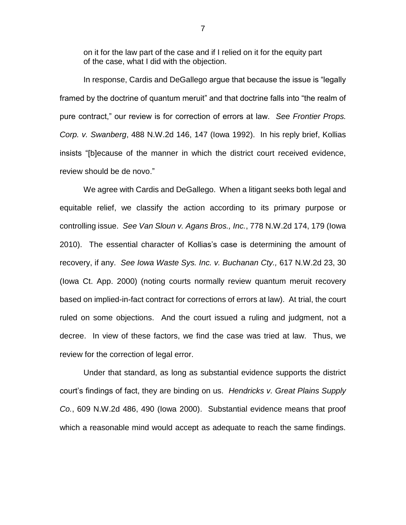on it for the law part of the case and if I relied on it for the equity part of the case, what I did with the objection.

In response, Cardis and DeGallego argue that because the issue is "legally framed by the doctrine of quantum meruit" and that doctrine falls into "the realm of pure contract," our review is for correction of errors at law. *See Frontier Props. Corp. v. Swanberg*, 488 N.W.2d 146, 147 (Iowa 1992). In his reply brief, Kollias insists "[b]ecause of the manner in which the district court received evidence, review should be de novo."

We agree with Cardis and DeGallego. When a litigant seeks both legal and equitable relief, we classify the action according to its primary purpose or controlling issue. *See Van Sloun v. Agans Bros., Inc.*, 778 N.W.2d 174, 179 (Iowa 2010). The essential character of Kollias's case is determining the amount of recovery, if any. *See Iowa Waste Sys. Inc. v. Buchanan Cty.,* 617 N.W.2d 23, 30 (Iowa Ct. App. 2000) (noting courts normally review quantum meruit recovery based on implied-in-fact contract for corrections of errors at law). At trial, the court ruled on some objections. And the court issued a ruling and judgment, not a decree. In view of these factors, we find the case was tried at law. Thus, we review for the correction of legal error.

Under that standard, as long as substantial evidence supports the district court's findings of fact, they are binding on us. *Hendricks v. Great Plains Supply Co.*, 609 N.W.2d 486, 490 (Iowa 2000). Substantial evidence means that proof which a reasonable mind would accept as adequate to reach the same findings.

7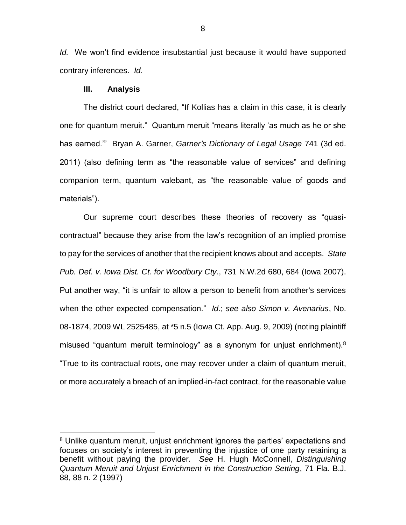*Id.* We won't find evidence insubstantial just because it would have supported contrary inferences. *Id*.

### **III. Analysis**

 $\overline{a}$ 

The district court declared, "If Kollias has a claim in this case, it is clearly one for quantum meruit." Quantum meruit "means literally 'as much as he or she has earned.'" Bryan A. Garner, *Garner's Dictionary of Legal Usage* 741 (3d ed. 2011) (also defining term as "the reasonable value of services" and defining companion term, quantum valebant, as "the reasonable value of goods and materials").

Our supreme court describes these theories of recovery as "quasicontractual" because they arise from the law's recognition of an implied promise to pay for the services of another that the recipient knows about and accepts. *State Pub. Def. v. Iowa Dist. Ct. for Woodbury Cty.*, 731 N.W.2d 680, 684 (Iowa 2007). Put another way, "it is unfair to allow a person to benefit from another's services when the other expected compensation." *Id*.; *see also Simon v. Avenarius*, No. 08-1874, 2009 WL 2525485, at \*5 n.5 (Iowa Ct. App. Aug. 9, 2009) (noting plaintiff misused "quantum meruit terminology" as a synonym for unjust enrichment).<sup>8</sup> "True to its contractual roots, one may recover under a claim of quantum meruit, or more accurately a breach of an implied-in-fact contract, for the reasonable value

<sup>8</sup> Unlike quantum meruit, unjust enrichment ignores the parties' expectations and focuses on society's interest in preventing the injustice of one party retaining a benefit without paying the provider. *See* H. Hugh McConnell, *Distinguishing Quantum Meruit and Unjust Enrichment in the Construction Setting*, 71 Fla. B.J. 88, 88 n. 2 (1997)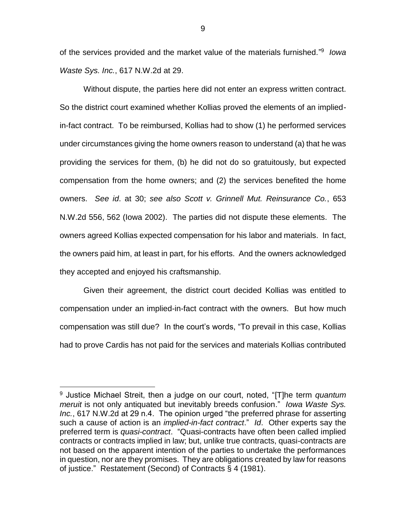of the services provided and the market value of the materials furnished." 9 *Iowa Waste Sys. Inc.*, 617 N.W.2d at 29.

Without dispute, the parties here did not enter an express written contract. So the district court examined whether Kollias proved the elements of an impliedin-fact contract. To be reimbursed, Kollias had to show (1) he performed services under circumstances giving the home owners reason to understand (a) that he was providing the services for them, (b) he did not do so gratuitously, but expected compensation from the home owners; and (2) the services benefited the home owners. *See id*. at 30; *see also Scott v. Grinnell Mut. Reinsurance Co.*, 653 N.W.2d 556, 562 (Iowa 2002). The parties did not dispute these elements. The owners agreed Kollias expected compensation for his labor and materials. In fact, the owners paid him, at least in part, for his efforts. And the owners acknowledged they accepted and enjoyed his craftsmanship.

Given their agreement, the district court decided Kollias was entitled to compensation under an implied-in-fact contract with the owners. But how much compensation was still due? In the court's words, "To prevail in this case, Kollias had to prove Cardis has not paid for the services and materials Kollias contributed

<sup>9</sup> Justice Michael Streit, then a judge on our court, noted, "[T]he term *quantum meruit* is not only antiquated but inevitably breeds confusion." *Iowa Waste Sys. Inc.*, 617 N.W.2d at 29 n.4. The opinion urged "the preferred phrase for asserting such a cause of action is an *implied-in-fact contract*." *Id*. Other experts say the preferred term is *quasi-contract*. "Quasi-contracts have often been called implied contracts or contracts implied in law; but, unlike true contracts, quasi-contracts are not based on the apparent intention of the parties to undertake the performances in question, nor are they promises. They are obligations created by law for reasons of justice." Restatement (Second) of Contracts § 4 (1981).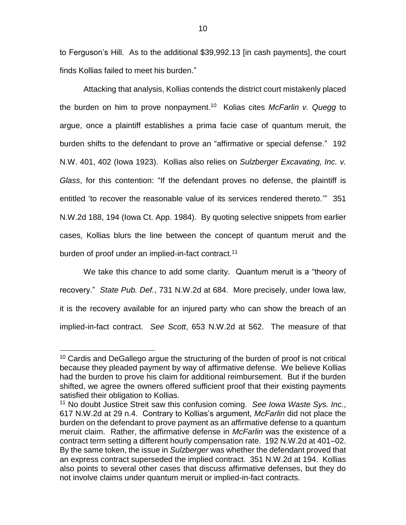to Ferguson's Hill. As to the additional \$39,992.13 [in cash payments], the court finds Kollias failed to meet his burden."

Attacking that analysis, Kollias contends the district court mistakenly placed the burden on him to prove nonpayment. 10 Kolias cites *McFarlin v. Quegg* to argue, once a plaintiff establishes a prima facie case of quantum meruit, the burden shifts to the defendant to prove an "affirmative or special defense." 192 N.W. 401, 402 (Iowa 1923). Kollias also relies on *Sulzberger Excavating, Inc. v. Glass*, for this contention: "If the defendant proves no defense, the plaintiff is entitled 'to recover the reasonable value of its services rendered thereto.'" 351 N.W.2d 188, 194 (Iowa Ct. App. 1984). By quoting selective snippets from earlier cases, Kollias blurs the line between the concept of quantum meruit and the burden of proof under an implied-in-fact contract.<sup>11</sup>

We take this chance to add some clarity. Quantum meruit is a "theory of recovery." *State Pub. Def.*, 731 N.W.2d at 684. More precisely, under Iowa law, it is the recovery available for an injured party who can show the breach of an implied-in-fact contract. *See Scott*, 653 N.W.2d at 562. The measure of that

<sup>&</sup>lt;sup>10</sup> Cardis and DeGallego argue the structuring of the burden of proof is not critical because they pleaded payment by way of affirmative defense. We believe Kollias had the burden to prove his claim for additional reimbursement. But if the burden shifted, we agree the owners offered sufficient proof that their existing payments satisfied their obligation to Kollias.

<sup>11</sup> No doubt Justice Streit saw this confusion coming. *See Iowa Waste Sys. Inc.*, 617 N.W.2d at 29 n.4. Contrary to Kollias's argument, *McFarlin* did not place the burden on the defendant to prove payment as an affirmative defense to a quantum meruit claim. Rather, the affirmative defense in *McFarlin* was the existence of a contract term setting a different hourly compensation rate. 192 N.W.2d at 401–02. By the same token, the issue in *Sulzberger* was whether the defendant proved that an express contract superseded the implied contract. 351 N.W.2d at 194. Kollias also points to several other cases that discuss affirmative defenses, but they do not involve claims under quantum meruit or implied-in-fact contracts.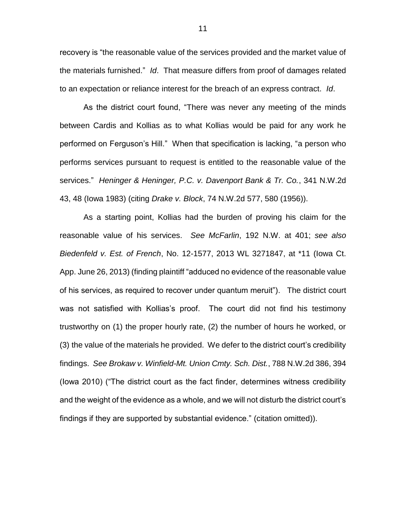recovery is "the reasonable value of the services provided and the market value of the materials furnished." *Id*. That measure differs from proof of damages related to an expectation or reliance interest for the breach of an express contract. *Id*.

As the district court found, "There was never any meeting of the minds between Cardis and Kollias as to what Kollias would be paid for any work he performed on Ferguson's Hill." When that specification is lacking, "a person who performs services pursuant to request is entitled to the reasonable value of the services." *Heninger & Heninger, P.C. v. Davenport Bank & Tr. Co.*, 341 N.W.2d 43, 48 (Iowa 1983) (citing *Drake v. Block*, 74 N.W.2d 577, 580 (1956)).

As a starting point, Kollias had the burden of proving his claim for the reasonable value of his services. *See McFarlin*, 192 N.W. at 401; *see also Biedenfeld v. Est. of French*, No. 12-1577, 2013 WL 3271847, at \*11 (Iowa Ct. App. June 26, 2013) (finding plaintiff "adduced no evidence of the reasonable value of his services, as required to recover under quantum meruit"). The district court was not satisfied with Kollias's proof. The court did not find his testimony trustworthy on (1) the proper hourly rate, (2) the number of hours he worked, or (3) the value of the materials he provided. We defer to the district court's credibility findings. *See Brokaw v. Winfield-Mt. Union Cmty. Sch. Dist.*, 788 N.W.2d 386, 394 (Iowa 2010) ("The district court as the fact finder, determines witness credibility and the weight of the evidence as a whole, and we will not disturb the district court's findings if they are supported by substantial evidence." (citation omitted)).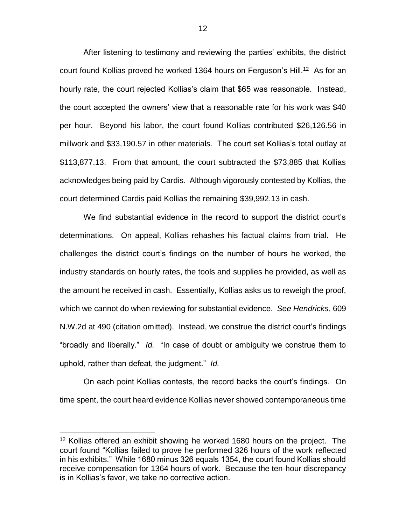After listening to testimony and reviewing the parties' exhibits, the district court found Kollias proved he worked 1364 hours on Ferguson's Hill.<sup>12</sup> As for an hourly rate, the court rejected Kollias's claim that \$65 was reasonable. Instead, the court accepted the owners' view that a reasonable rate for his work was \$40 per hour. Beyond his labor, the court found Kollias contributed \$26,126.56 in millwork and \$33,190.57 in other materials. The court set Kollias's total outlay at \$113,877.13. From that amount, the court subtracted the \$73,885 that Kollias acknowledges being paid by Cardis. Although vigorously contested by Kollias, the court determined Cardis paid Kollias the remaining \$39,992.13 in cash.

We find substantial evidence in the record to support the district court's determinations. On appeal, Kollias rehashes his factual claims from trial. He challenges the district court's findings on the number of hours he worked, the industry standards on hourly rates, the tools and supplies he provided, as well as the amount he received in cash. Essentially, Kollias asks us to reweigh the proof, which we cannot do when reviewing for substantial evidence. *See Hendricks*, 609 N.W.2d at 490 (citation omitted). Instead, we construe the district court's findings "broadly and liberally." *Id.* "In case of doubt or ambiguity we construe them to uphold, rather than defeat, the judgment." *Id.*

On each point Kollias contests, the record backs the court's findings. On time spent, the court heard evidence Kollias never showed contemporaneous time

<sup>&</sup>lt;sup>12</sup> Kollias offered an exhibit showing he worked 1680 hours on the project. The court found "Kollias failed to prove he performed 326 hours of the work reflected in his exhibits." While 1680 minus 326 equals 1354, the court found Kollias should receive compensation for 1364 hours of work. Because the ten-hour discrepancy is in Kollias's favor, we take no corrective action.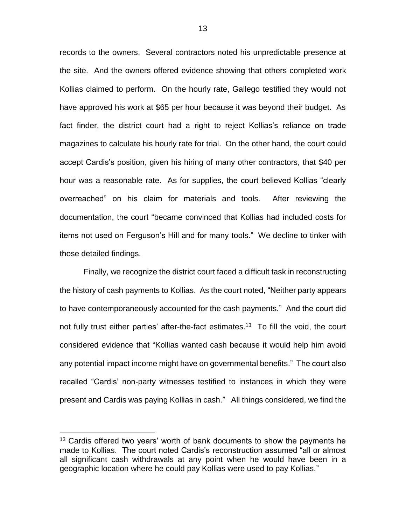records to the owners. Several contractors noted his unpredictable presence at the site. And the owners offered evidence showing that others completed work Kollias claimed to perform. On the hourly rate, Gallego testified they would not have approved his work at \$65 per hour because it was beyond their budget. As fact finder, the district court had a right to reject Kollias's reliance on trade magazines to calculate his hourly rate for trial. On the other hand, the court could accept Cardis's position, given his hiring of many other contractors, that \$40 per hour was a reasonable rate. As for supplies, the court believed Kollias "clearly overreached" on his claim for materials and tools. After reviewing the documentation, the court "became convinced that Kollias had included costs for items not used on Ferguson's Hill and for many tools." We decline to tinker with those detailed findings.

Finally, we recognize the district court faced a difficult task in reconstructing the history of cash payments to Kollias. As the court noted, "Neither party appears to have contemporaneously accounted for the cash payments." And the court did not fully trust either parties' after-the-fact estimates.<sup>13</sup> To fill the void, the court considered evidence that "Kollias wanted cash because it would help him avoid any potential impact income might have on governmental benefits." The court also recalled "Cardis' non-party witnesses testified to instances in which they were present and Cardis was paying Kollias in cash." All things considered, we find the

<sup>&</sup>lt;sup>13</sup> Cardis offered two years' worth of bank documents to show the payments he made to Kollias. The court noted Cardis's reconstruction assumed "all or almost all significant cash withdrawals at any point when he would have been in a geographic location where he could pay Kollias were used to pay Kollias."